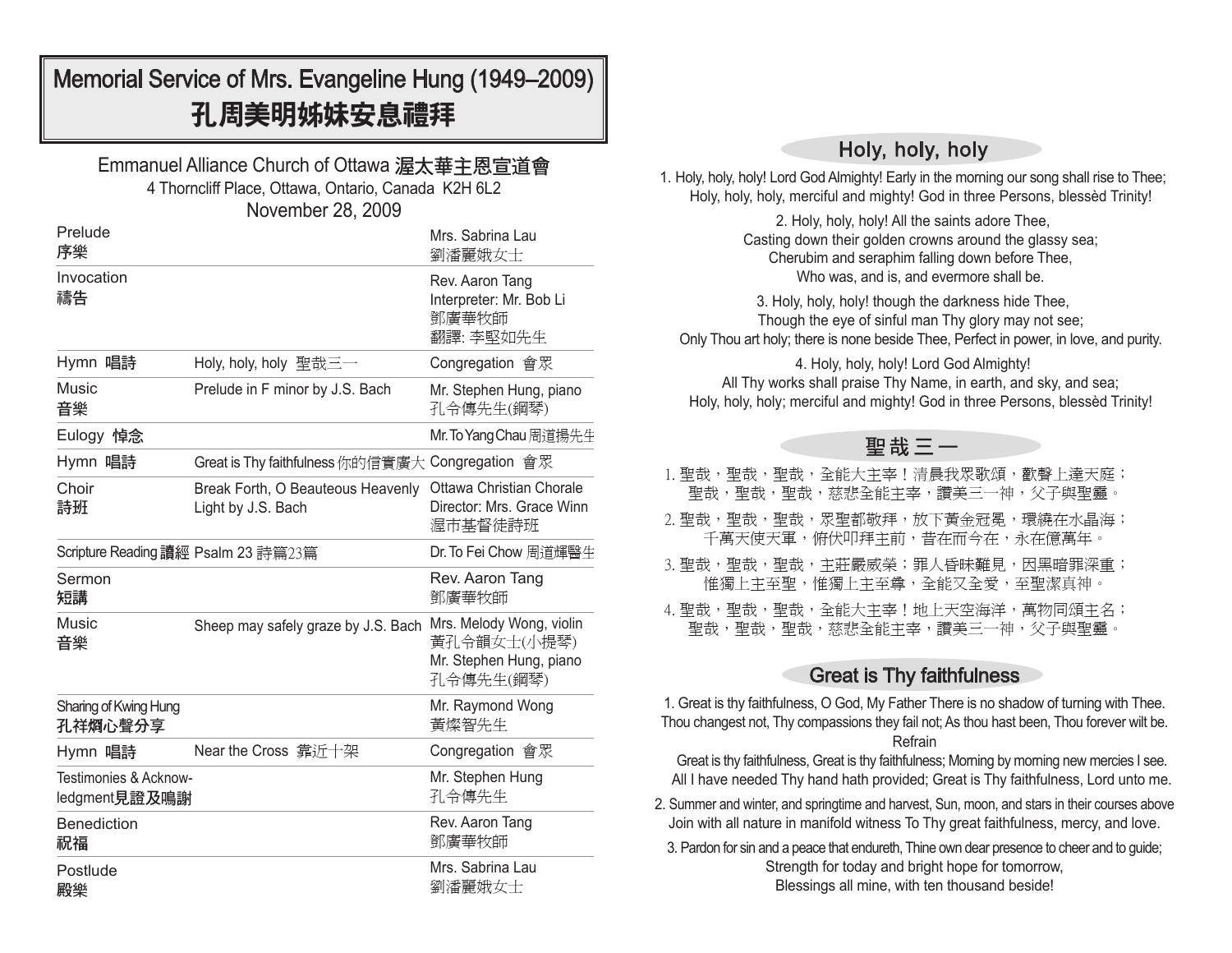# Memorial Service of Mrs. Evangeline Hung (1949–2009) 孔周美明姊妹安息禮拜

### Emmanuel Alliance Church of Ottawa 渥太華主恩宣道會 4 Thorncliff Place, Ottawa, Ontario, Canada K2H 6L2 November 28, 2009

| Prelude<br>序樂                          |                                                         | Mrs. Sabrina Lau<br>劉潘麗娥女士                                                      |
|----------------------------------------|---------------------------------------------------------|---------------------------------------------------------------------------------|
| Invocation<br>禱告                       |                                                         | Rev. Aaron Tang<br>Interpreter: Mr. Bob Li<br>鄧廣華牧師<br>翻譯:李堅如先生                 |
| Hymn 唱詩                                | Holy, holy, holy 聖哉三一                                   | Congregation 會眾                                                                 |
| <b>Music</b><br>音樂                     | Prelude in F minor by J.S. Bach                         | Mr. Stephen Hung, piano<br>孔令傳先生(鋼琴)                                            |
| Eulogy 悼念                              |                                                         | Mr. To Yang Chau 周道揚先生                                                          |
| Hymn 唱詩                                | Great is Thy faithfulness 你的信實廣大                        | Congregation 會眾                                                                 |
| Choir<br>詩班                            | Break Forth, O Beauteous Heavenly<br>Light by J.S. Bach | Ottawa Christian Chorale<br>Director: Mrs. Grace Winn<br>渥市基督徒詩班                |
| Scripture Reading 讀經 Psalm 23 詩篇23篇    |                                                         | Dr. To Fei Chow 周道輝醫生                                                           |
| Sermon<br>短講                           |                                                         | Rev. Aaron Tang<br>鄧廣華牧師                                                        |
| Music<br>音樂                            | Sheep may safely graze by J.S. Bach                     | Mrs. Melody Wong, violin<br>黃孔令韻女士(小提琴)<br>Mr. Stephen Hung, piano<br>孔令傳先生(鋼琴) |
| Sharing of Kwing Hung<br>孔祥烱心聲分享       |                                                         | Mr. Raymond Wong<br>黃燦智先生                                                       |
| Hymn 唱詩                                | Near the Cross 靠近十架                                     | Congregation 會眾                                                                 |
| Testimonies & Acknow-<br>ledgment見證及鳴謝 |                                                         | Mr. Stephen Hung<br>孔令傳先生                                                       |
| <b>Benediction</b><br>祝福               |                                                         | Rev. Aaron Tang<br>鄧廣華牧師                                                        |
| Postlude<br>殿樂                         |                                                         | Mrs. Sabrina Lau<br>劉潘麗娥女士                                                      |

# Holy, holy, holy

1. Holy, holy, holy! Lord God Almighty! Early in the morning our song shall rise to Thee; Holy, holy, holy, merciful and mighty! God in three Persons, blessèd Trinity!

> 2. Holy, holy, holy! All the saints adore Thee, Casting down their golden crowns around the glassy sea; Cherubim and seraphim falling down before Thee, Who was, and is, and evermore shall be.

3. Holy, holy, holy! though the darkness hide Thee, Though the eye of sinful man Thy glory may not see; Only Thou art holy; there is none beside Thee, Perfect in power, in love, and purity.

4. Holy, holy, holy! Lord God Almighty! All Thy works shall praise Thy Name, in earth, and sky, and sea; Holy, holy, holy; merciful and mighty! God in three Persons, blessèd Trinity!

### 聖哉 三 一

- 1. 聖哉, 聖哉, 全能大主宰!清晨我眾歌頌, 歡聲上達天庭; 聖哉,聖哉,整悲全能主宰,讚美三一神,父子與聖靈
- 2. 聖哉, 聖哉, 聚聖都敬拜, 放下黃金冠冕, 環繞在水晶海; 千萬天使天軍,俯伏叩拜主前,昔在而今在,永在億萬年。
- 3. 聖哉, 聖哉, 主莊嚴威榮;罪人昏昧難見, 因黑暗罪深重; 惟獨上主至聖,惟獨上主至尊,全能又全愛,至聖潔真神。
- 4. 聖哉, 聖哉, 全能大主宰! 地上天空海洋, 萬物同頌主名; 聖哉,聖哉,聖哉,慈悲全能主宰,讚美三一神,父子與聖靈。

### Great is Thy faithfulness

1. Great is thy faithfulness, O God, My Father There is no shadow of turning with Thee. Thou changest not, Thy compassions they fail not; As thou hast been, Thou forever wilt be.

#### Refrain

 Great is thy faithfulness, Great is thy faithfulness; Morning by morning new mercies I see. All I have needed Thy hand hath provided; Great is Thy faithfulness, Lord unto me.

2. Summer and winter, and springtime and harvest, Sun, moon, and stars in their courses above Join with all nature in manifold witness To Thy great faithfulness, mercy, and love.

3. Pardon for sin and a peace that endureth, Thine own dear presence to cheer and to guide; Strength for today and bright hope for tomorrow, Blessings all mine, with ten thousand beside!